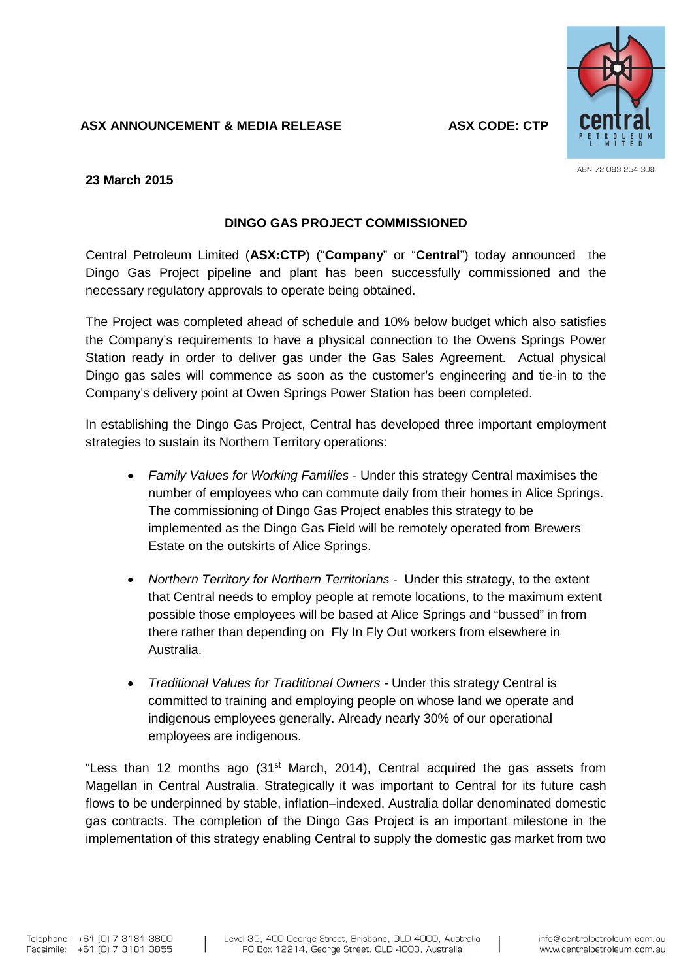## **ASX ANNOUNCEMENT & MEDIA RELEASE ASX CODE: CTP**



ABN 72 083 254 308

**23 March 2015**

## **DINGO GAS PROJECT COMMISSIONED**

Central Petroleum Limited (**ASX:CTP**) ("**Company**" or "**Central**") today announced the Dingo Gas Project pipeline and plant has been successfully commissioned and the necessary regulatory approvals to operate being obtained.

The Project was completed ahead of schedule and 10% below budget which also satisfies the Company's requirements to have a physical connection to the Owens Springs Power Station ready in order to deliver gas under the Gas Sales Agreement. Actual physical Dingo gas sales will commence as soon as the customer's engineering and tie-in to the Company's delivery point at Owen Springs Power Station has been completed.

In establishing the Dingo Gas Project, Central has developed three important employment strategies to sustain its Northern Territory operations:

- *Family Values for Working Families -* Under this strategy Central maximises the number of employees who can commute daily from their homes in Alice Springs. The commissioning of Dingo Gas Project enables this strategy to be implemented as the Dingo Gas Field will be remotely operated from Brewers Estate on the outskirts of Alice Springs.
- *Northern Territory for Northern Territorians -* Under this strategy, to the extent that Central needs to employ people at remote locations, to the maximum extent possible those employees will be based at Alice Springs and "bussed" in from there rather than depending on Fly In Fly Out workers from elsewhere in Australia.
- *Traditional Values for Traditional Owners -* Under this strategy Central is committed to training and employing people on whose land we operate and indigenous employees generally. Already nearly 30% of our operational employees are indigenous.

"Less than 12 months ago (31<sup>st</sup> March, 2014), Central acquired the gas assets from Magellan in Central Australia. Strategically it was important to Central for its future cash flows to be underpinned by stable, inflation–indexed, Australia dollar denominated domestic gas contracts. The completion of the Dingo Gas Project is an important milestone in the implementation of this strategy enabling Central to supply the domestic gas market from two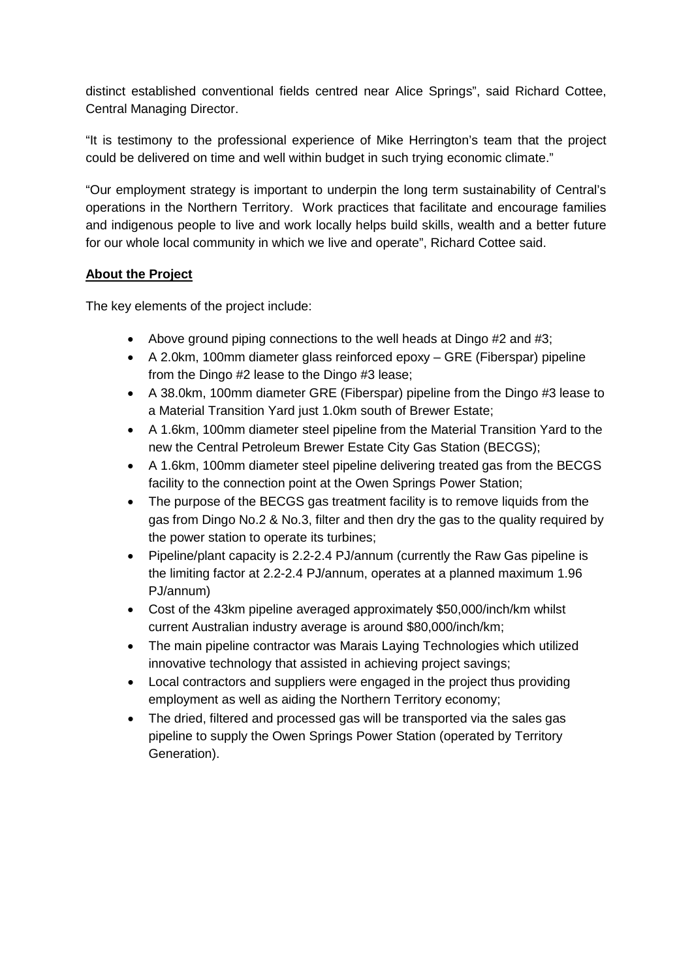distinct established conventional fields centred near Alice Springs", said Richard Cottee, Central Managing Director.

"It is testimony to the professional experience of Mike Herrington's team that the project could be delivered on time and well within budget in such trying economic climate."

"Our employment strategy is important to underpin the long term sustainability of Central's operations in the Northern Territory. Work practices that facilitate and encourage families and indigenous people to live and work locally helps build skills, wealth and a better future for our whole local community in which we live and operate", Richard Cottee said.

# **About the Project**

The key elements of the project include:

- Above ground piping connections to the well heads at Dingo #2 and #3;
- A 2.0km, 100mm diameter glass reinforced epoxy GRE (Fiberspar) pipeline from the Dingo #2 lease to the Dingo #3 lease;
- A 38.0km, 100mm diameter GRE (Fiberspar) pipeline from the Dingo #3 lease to a Material Transition Yard just 1.0km south of Brewer Estate;
- A 1.6km, 100mm diameter steel pipeline from the Material Transition Yard to the new the Central Petroleum Brewer Estate City Gas Station (BECGS);
- A 1.6km, 100mm diameter steel pipeline delivering treated gas from the BECGS facility to the connection point at the Owen Springs Power Station;
- The purpose of the BECGS gas treatment facility is to remove liquids from the gas from Dingo No.2 & No.3, filter and then dry the gas to the quality required by the power station to operate its turbines;
- Pipeline/plant capacity is 2.2-2.4 PJ/annum (currently the Raw Gas pipeline is the limiting factor at 2.2-2.4 PJ/annum, operates at a planned maximum 1.96 PJ/annum)
- Cost of the 43km pipeline averaged approximately \$50,000/inch/km whilst current Australian industry average is around \$80,000/inch/km;
- The main pipeline contractor was Marais Laying Technologies which utilized innovative technology that assisted in achieving project savings;
- Local contractors and suppliers were engaged in the project thus providing employment as well as aiding the Northern Territory economy;
- The dried, filtered and processed gas will be transported via the sales gas pipeline to supply the Owen Springs Power Station (operated by Territory Generation).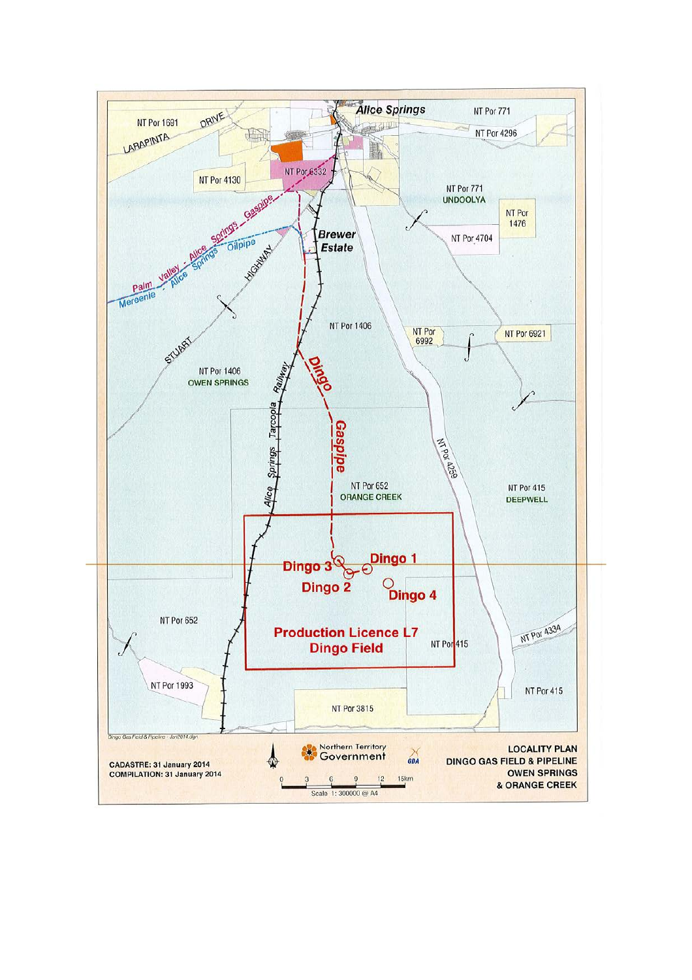